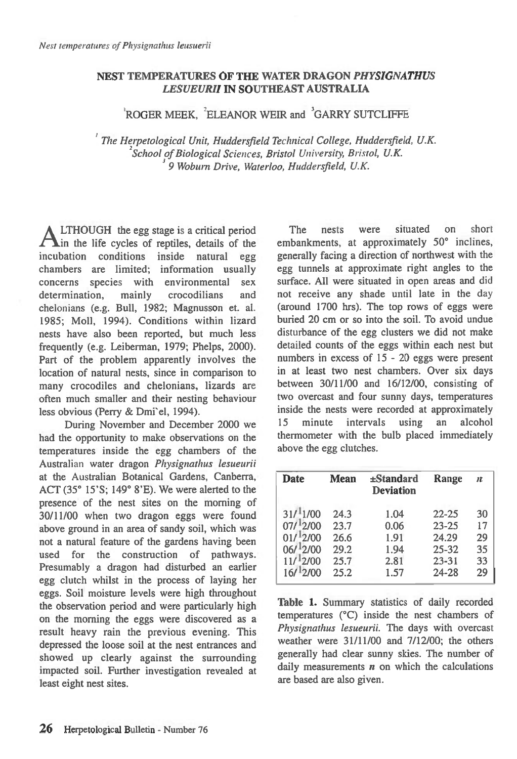## **NEST TEMPERATURES OF THE WATER DRAGON** *PHYSIGNATHUS LESUEURII* **IN SOUTHEAST AUSTRALIA**

ROGER MEEK, ELEANOR WEIR and <sup>3</sup>GARRY SUTCLIFFE

*The Herpetological Unit, Huddersfield Technical College, Huddersfield, U.K. School of Biological* Sciences, *Bristol University, Bristol, U.K. 9 Woburn Drive, Waterloo, Huddersfield, U.K.* 

**A** LTHOUGH the egg stage is a critical period  $\sum$  in the life cycles of reptiles, details of the incubation conditions inside natural egg chambers are limited; information usually concerns species with environmental sex determination, mainly crocodilians and chelonians (e.g. Bull, 1982; Magnusson et. al. 1985; Moll, 1994). Conditions within lizard nests have also been reported, but much less frequently (e.g. Leiberman, 1979; Phelps, 2000). Part of the problem apparently involves the location of natural nests, since in comparison to many crocodiles and chelonians, lizards are often much smaller and their nesting behaviour less obvious (Perry & Dmi'el, 1994).

During November and December 2000 we had the opportunity to make observations on the temperatures inside the egg chambers of the Australian water dragon *Physignathus lesueurii*  at the Australian Botanical Gardens, Canberra, ACT (35° 15'S; 149° 8'E). We were alerted to the presence of the nest sites on the morning of 30/11/00 when two dragon eggs were found above ground in an area of sandy soil, which was not a natural feature of the gardens having been used for the construction of pathways. Presumably a dragon had disturbed an earlier egg clutch whilst in the process of laying her eggs. Soil moisture levels were high throughout the observation period and were particularly high on the morning the eggs were discovered as a result heavy rain the previous evening. This depressed the loose soil at the nest entrances and showed up clearly against the surrounding impacted soil. Further investigation revealed at least eight nest sites.

The nests were situated on short embankments, at approximately 50° inclines, generally facing a direction of northwest with the egg tunnels at approximate right angles to the surface. All were situated in open areas and did not receive any shade until late in the day (around 1700 hrs). The top rows of eggs were buried 20 cm or so into the soil. To avoid undue disturbance of the egg clusters we did not make detailed counts of the eggs within each nest but numbers in excess of 15 - 20 eggs were present in at least two nest chambers. Over six days between 30/11/00 and 16/12/00, consisting of two overcast and four sunny days, temperatures inside the nests were recorded at approximately 15 minute intervals using an alcohol thermometer with the bulb placed immediately above the egg clutches.

| <b>Date</b> | <b>Mean</b> | <b>±Standard</b><br><b>Deviation</b> | Range     | n  |
|-------------|-------------|--------------------------------------|-----------|----|
| 31/11/00    | 24.3        | 1.04                                 | $22 - 25$ | 30 |
| 07/12/00    | 23.7        | 0.06                                 | $23 - 25$ | 17 |
| 01/12/00    | 26.6        | 1.91                                 | 24.29     | 29 |
| 06/12/00    | 29.2        | 1.94                                 | $25 - 32$ | 35 |
| 11/12/00    | 25.7        | 2.81                                 | $23 - 31$ | 33 |
| 16/12/00    | 25.2        | 1.57                                 | 24-28     | 29 |

**Table 1.** Summary statistics of daily recorded temperatures (°C) inside the nest chambers of *Physignathus lesueurii.* The days with overcast weather were 31/11/00 and 7/12/00; the others generally had clear sunny skies. The number of daily measurements **n** on which the calculations are based are also given.